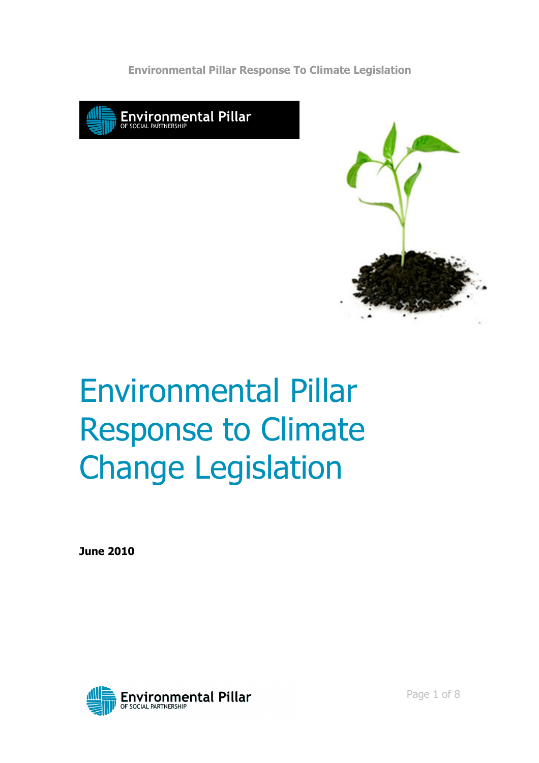Environmental Pillar Response To Climate Legislation





# Environmental Pillar Response to Climate Change Legislation

June 2010

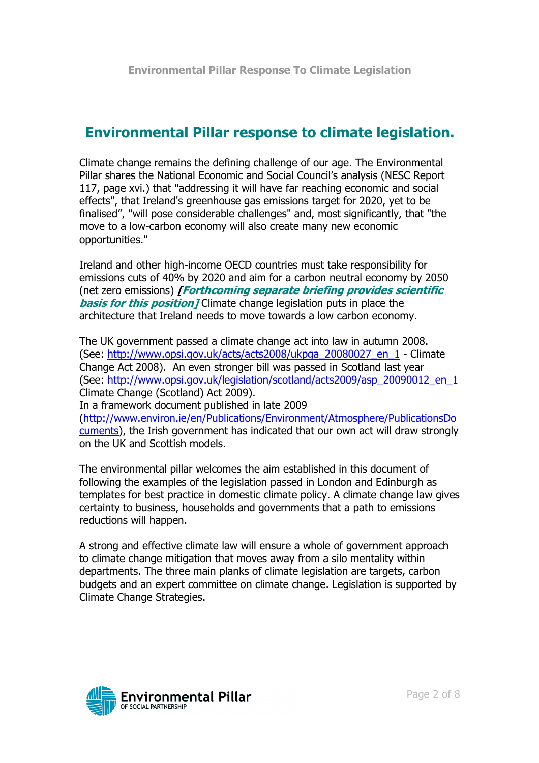# Environmental Pillar response to climate legislation.

Climate change remains the defining challenge of our age. The Environmental Pillar shares the National Economic and Social Council's analysis (NESC Report 117, page xvi.) that "addressing it will have far reaching economic and social effects", that Ireland's greenhouse gas emissions target for 2020, yet to be finalised", "will pose considerable challenges" and, most significantly, that "the move to a low-carbon economy will also create many new economic opportunities."

Ireland and other high-income OECD countries must take responsibility for emissions cuts of 40% by 2020 and aim for a carbon neutral economy by 2050 (net zero emissions) [Forthcoming separate briefing provides scientific **basis for this position** / Climate change legislation puts in place the architecture that Ireland needs to move towards a low carbon economy.

The UK government passed a climate change act into law in autumn 2008. (See: http://www.opsi.gov.uk/acts/acts2008/ukpga\_20080027\_en\_1 - Climate Change Act 2008). An even stronger bill was passed in Scotland last year (See: http://www.opsi.gov.uk/legislation/scotland/acts2009/asp\_20090012\_en\_1 Climate Change (Scotland) Act 2009).

In a framework document published in late 2009 (http://www.environ.ie/en/Publications/Environment/Atmosphere/PublicationsDo cuments), the Irish government has indicated that our own act will draw strongly on the UK and Scottish models.

The environmental pillar welcomes the aim established in this document of following the examples of the legislation passed in London and Edinburgh as templates for best practice in domestic climate policy. A climate change law gives certainty to business, households and governments that a path to emissions reductions will happen.

A strong and effective climate law will ensure a whole of government approach to climate change mitigation that moves away from a silo mentality within departments. The three main planks of climate legislation are targets, carbon budgets and an expert committee on climate change. Legislation is supported by Climate Change Strategies.

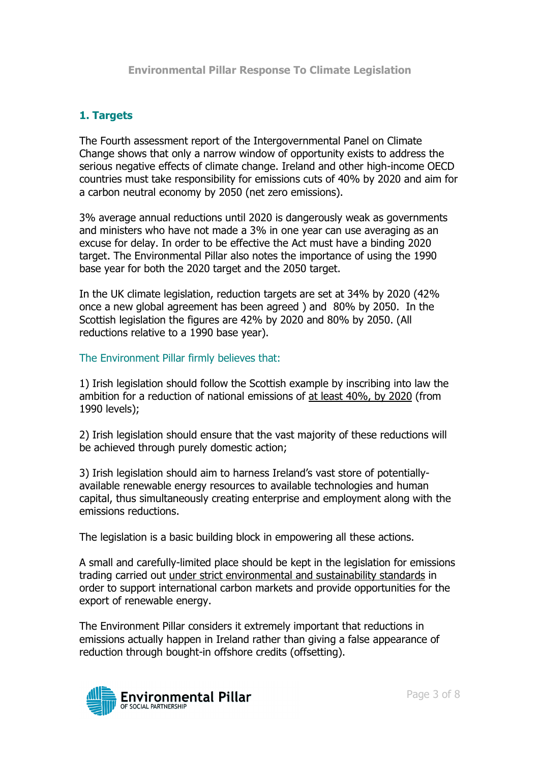# 1. Targets

The Fourth assessment report of the Intergovernmental Panel on Climate Change shows that only a narrow window of opportunity exists to address the serious negative effects of climate change. Ireland and other high-income OECD countries must take responsibility for emissions cuts of 40% by 2020 and aim for a carbon neutral economy by 2050 (net zero emissions).

3% average annual reductions until 2020 is dangerously weak as governments and ministers who have not made a 3% in one year can use averaging as an excuse for delay. In order to be effective the Act must have a binding 2020 target. The Environmental Pillar also notes the importance of using the 1990 base year for both the 2020 target and the 2050 target.

In the UK climate legislation, reduction targets are set at 34% by 2020 (42% once a new global agreement has been agreed ) and 80% by 2050. In the Scottish legislation the figures are 42% by 2020 and 80% by 2050. (All reductions relative to a 1990 base year).

The Environment Pillar firmly believes that:

1) Irish legislation should follow the Scottish example by inscribing into law the ambition for a reduction of national emissions of at least 40%, by 2020 (from 1990 levels);

2) Irish legislation should ensure that the vast majority of these reductions will be achieved through purely domestic action;

3) Irish legislation should aim to harness Ireland's vast store of potentiallyavailable renewable energy resources to available technologies and human capital, thus simultaneously creating enterprise and employment along with the emissions reductions.

The legislation is a basic building block in empowering all these actions.

A small and carefully-limited place should be kept in the legislation for emissions trading carried out under strict environmental and sustainability standards in order to support international carbon markets and provide opportunities for the export of renewable energy.

The Environment Pillar considers it extremely important that reductions in emissions actually happen in Ireland rather than giving a false appearance of reduction through bought-in offshore credits (offsetting).

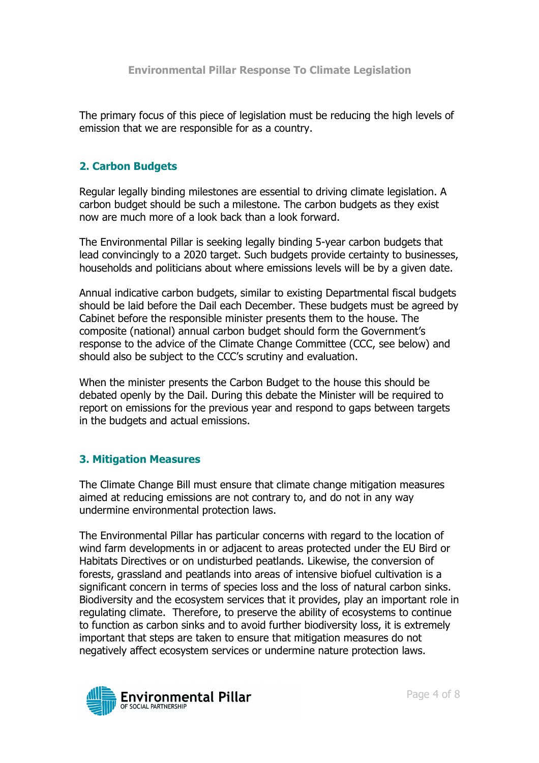The primary focus of this piece of legislation must be reducing the high levels of emission that we are responsible for as a country.

# 2. Carbon Budgets

Regular legally binding milestones are essential to driving climate legislation. A carbon budget should be such a milestone. The carbon budgets as they exist now are much more of a look back than a look forward.

The Environmental Pillar is seeking legally binding 5-year carbon budgets that lead convincingly to a 2020 target. Such budgets provide certainty to businesses, households and politicians about where emissions levels will be by a given date.

Annual indicative carbon budgets, similar to existing Departmental fiscal budgets should be laid before the Dail each December. These budgets must be agreed by Cabinet before the responsible minister presents them to the house. The composite (national) annual carbon budget should form the Government's response to the advice of the Climate Change Committee (CCC, see below) and should also be subject to the CCC's scrutiny and evaluation.

When the minister presents the Carbon Budget to the house this should be debated openly by the Dail. During this debate the Minister will be required to report on emissions for the previous year and respond to gaps between targets in the budgets and actual emissions.

## 3. Mitigation Measures

The Climate Change Bill must ensure that climate change mitigation measures aimed at reducing emissions are not contrary to, and do not in any way undermine environmental protection laws.

The Environmental Pillar has particular concerns with regard to the location of wind farm developments in or adjacent to areas protected under the EU Bird or Habitats Directives or on undisturbed peatlands. Likewise, the conversion of forests, grassland and peatlands into areas of intensive biofuel cultivation is a significant concern in terms of species loss and the loss of natural carbon sinks. Biodiversity and the ecosystem services that it provides, play an important role in regulating climate. Therefore, to preserve the ability of ecosystems to continue to function as carbon sinks and to avoid further biodiversity loss, it is extremely important that steps are taken to ensure that mitigation measures do not negatively affect ecosystem services or undermine nature protection laws.

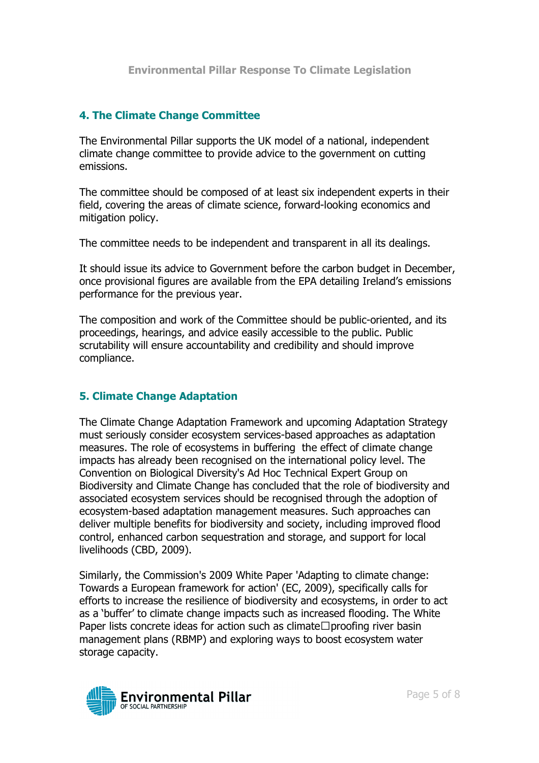## 4. The Climate Change Committee

The Environmental Pillar supports the UK model of a national, independent climate change committee to provide advice to the government on cutting emissions.

The committee should be composed of at least six independent experts in their field, covering the areas of climate science, forward-looking economics and mitigation policy.

The committee needs to be independent and transparent in all its dealings.

It should issue its advice to Government before the carbon budget in December, once provisional figures are available from the EPA detailing Ireland's emissions performance for the previous year.

The composition and work of the Committee should be public-oriented, and its proceedings, hearings, and advice easily accessible to the public. Public scrutability will ensure accountability and credibility and should improve compliance.

## 5. Climate Change Adaptation

The Climate Change Adaptation Framework and upcoming Adaptation Strategy must seriously consider ecosystem services-based approaches as adaptation measures. The role of ecosystems in buffering the effect of climate change impacts has already been recognised on the international policy level. The Convention on Biological Diversity's Ad Hoc Technical Expert Group on Biodiversity and Climate Change has concluded that the role of biodiversity and associated ecosystem services should be recognised through the adoption of ecosystem-based adaptation management measures. Such approaches can deliver multiple benefits for biodiversity and society, including improved flood control, enhanced carbon sequestration and storage, and support for local livelihoods (CBD, 2009).

Similarly, the Commission's 2009 White Paper 'Adapting to climate change: Towards a European framework for action' (EC, 2009), specifically calls for efforts to increase the resilience of biodiversity and ecosystems, in order to act as a 'buffer' to climate change impacts such as increased flooding. The White Paper lists concrete ideas for action such as climateH proofing river basin management plans (RBMP) and exploring ways to boost ecosystem water storage capacity.

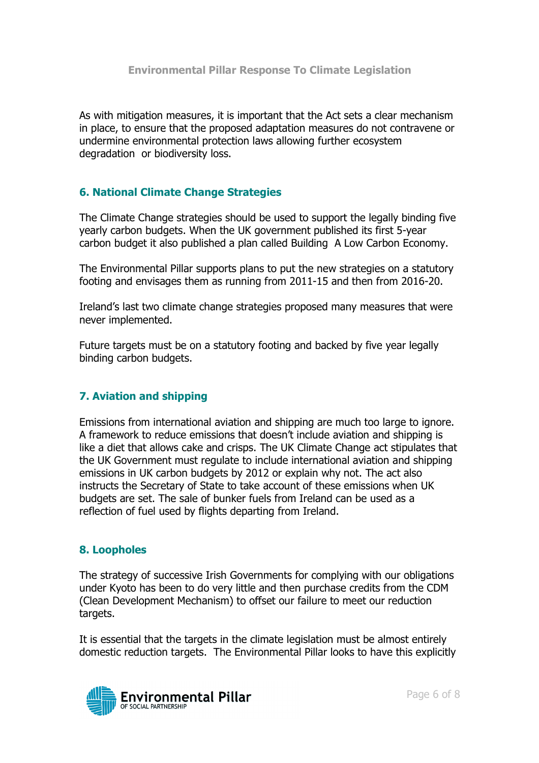#### Environmental Pillar Response To Climate Legislation

As with mitigation measures, it is important that the Act sets a clear mechanism in place, to ensure that the proposed adaptation measures do not contravene or undermine environmental protection laws allowing further ecosystem degradation or biodiversity loss.

#### 6. National Climate Change Strategies

The Climate Change strategies should be used to support the legally binding five yearly carbon budgets. When the UK government published its first 5-year carbon budget it also published a plan called Building A Low Carbon Economy.

The Environmental Pillar supports plans to put the new strategies on a statutory footing and envisages them as running from 2011-15 and then from 2016-20.

Ireland's last two climate change strategies proposed many measures that were never implemented.

Future targets must be on a statutory footing and backed by five year legally binding carbon budgets.

#### 7. Aviation and shipping

Emissions from international aviation and shipping are much too large to ignore. A framework to reduce emissions that doesn't include aviation and shipping is like a diet that allows cake and crisps. The UK Climate Change act stipulates that the UK Government must regulate to include international aviation and shipping emissions in UK carbon budgets by 2012 or explain why not. The act also instructs the Secretary of State to take account of these emissions when UK budgets are set. The sale of bunker fuels from Ireland can be used as a reflection of fuel used by flights departing from Ireland.

#### 8. Loopholes

The strategy of successive Irish Governments for complying with our obligations under Kyoto has been to do very little and then purchase credits from the CDM (Clean Development Mechanism) to offset our failure to meet our reduction targets.

It is essential that the targets in the climate legislation must be almost entirely domestic reduction targets. The Environmental Pillar looks to have this explicitly

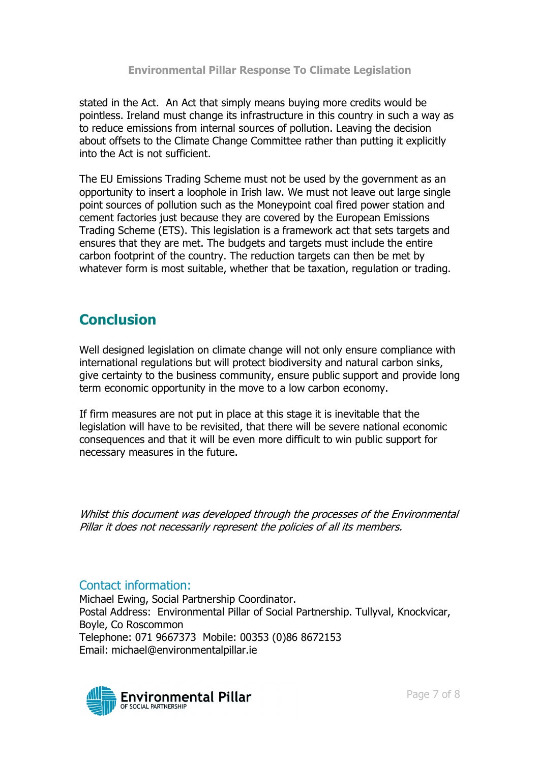stated in the Act. An Act that simply means buying more credits would be pointless. Ireland must change its infrastructure in this country in such a way as to reduce emissions from internal sources of pollution. Leaving the decision about offsets to the Climate Change Committee rather than putting it explicitly into the Act is not sufficient.

The EU Emissions Trading Scheme must not be used by the government as an opportunity to insert a loophole in Irish law. We must not leave out large single point sources of pollution such as the Moneypoint coal fired power station and cement factories just because they are covered by the European Emissions Trading Scheme (ETS). This legislation is a framework act that sets targets and ensures that they are met. The budgets and targets must include the entire carbon footprint of the country. The reduction targets can then be met by whatever form is most suitable, whether that be taxation, regulation or trading.

# **Conclusion**

Well designed legislation on climate change will not only ensure compliance with international regulations but will protect biodiversity and natural carbon sinks, give certainty to the business community, ensure public support and provide long term economic opportunity in the move to a low carbon economy.

If firm measures are not put in place at this stage it is inevitable that the legislation will have to be revisited, that there will be severe national economic consequences and that it will be even more difficult to win public support for necessary measures in the future.

Whilst this document was developed through the processes of the Environmental Pillar it does not necessarily represent the policies of all its members.

# Contact information:

Michael Ewing, Social Partnership Coordinator. Postal Address: Environmental Pillar of Social Partnership. Tullyval, Knockvicar, Boyle, Co Roscommon Telephone: 071 9667373 Mobile: 00353 (0)86 8672153 Email: michael@environmentalpillar.ie